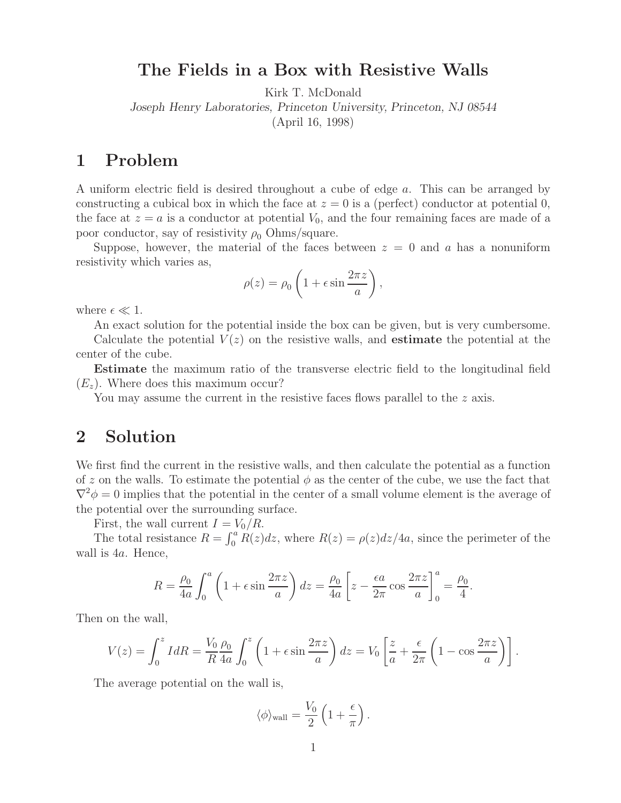## **The Fields in a Box with Resistive Walls**

Kirk T. McDonald

*Joseph Henry Laboratories, Princeton University, Princeton, NJ 08544*

(April 16, 1998)

## **1 Problem**

A uniform electric field is desired throughout a cube of edge a. This can be arranged by constructing a cubical box in which the face at  $z = 0$  is a (perfect) conductor at potential 0, the face at  $z = a$  is a conductor at potential  $V_0$ , and the four remaining faces are made of a poor conductor, say of resistivity  $\rho_0$  Ohms/square.

Suppose, however, the material of the faces between  $z = 0$  and a has a nonuniform resistivity which varies as,

$$
\rho(z) = \rho_0 \left( 1 + \epsilon \sin \frac{2\pi z}{a} \right),
$$

where  $\epsilon \ll 1$ .

An exact solution for the potential inside the box can be given, but is very cumbersome.

Calculate the potential  $V(z)$  on the resistive walls, and **estimate** the potential at the center of the cube.

**Estimate** the maximum ratio of the transverse electric field to the longitudinal field  $(E_z)$ . Where does this maximum occur?

You may assume the current in the resistive faces flows parallel to the z axis.

## **2 Solution**

We first find the current in the resistive walls, and then calculate the potential as a function of z on the walls. To estimate the potential  $\phi$  as the center of the cube, we use the fact that  $\nabla^2 \phi = 0$  implies that the potential in the center of a small volume element is the average of the potential over the surrounding surface.

First, the wall current  $I = V_0/R$ .

The total resistance  $R = \int_0^a \dot{R}(z)dz$ , where  $R(z) = \rho(z)dz/4a$ , since the perimeter of the wall is 4a. Hence,

$$
R = \frac{\rho_0}{4a} \int_0^a \left(1 + \epsilon \sin \frac{2\pi z}{a}\right) dz = \frac{\rho_0}{4a} \left[z - \frac{\epsilon a}{2\pi} \cos \frac{2\pi z}{a}\right]_0^a = \frac{\rho_0}{4}.
$$

Then on the wall,

$$
V(z) = \int_0^z I dR = \frac{V_0 \rho_0}{R} \frac{\rho_0}{4a} \int_0^z \left(1 + \epsilon \sin \frac{2\pi z}{a}\right) dz = V_0 \left[\frac{z}{a} + \frac{\epsilon}{2\pi} \left(1 - \cos \frac{2\pi z}{a}\right)\right].
$$

The average potential on the wall is,

$$
\langle \phi \rangle_{\text{wall}} = \frac{V_0}{2} \left( 1 + \frac{\epsilon}{\pi} \right).
$$